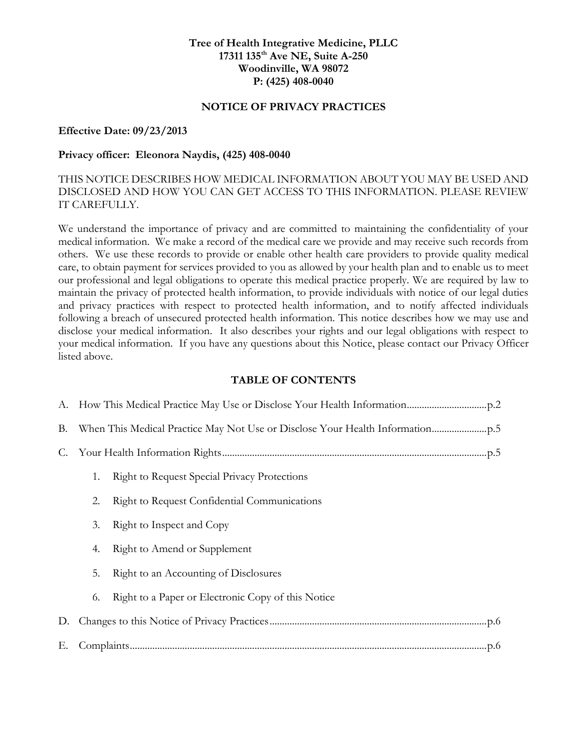### **Tree of Health Integrative Medicine, PLLC 17311 135th Ave NE, Suite A-250 Woodinville, WA 98072 P: (425) 408-0040**

### **NOTICE OF PRIVACY PRACTICES**

#### **Effective Date: 09/23/2013**

#### **Privacy officer: Eleonora Naydis, (425) 408-0040**

## THIS NOTICE DESCRIBES HOW MEDICAL INFORMATION ABOUT YOU MAY BE USED AND DISCLOSED AND HOW YOU CAN GET ACCESS TO THIS INFORMATION. PLEASE REVIEW IT CAREFULLY.

We understand the importance of privacy and are committed to maintaining the confidentiality of your medical information. We make a record of the medical care we provide and may receive such records from others. We use these records to provide or enable other health care providers to provide quality medical care, to obtain payment for services provided to you as allowed by your health plan and to enable us to meet our professional and legal obligations to operate this medical practice properly. We are required by law to maintain the privacy of protected health information, to provide individuals with notice of our legal duties and privacy practices with respect to protected health information, and to notify affected individuals following a breach of unsecured protected health information. This notice describes how we may use and disclose your medical information. It also describes your rights and our legal obligations with respect to your medical information. If you have any questions about this Notice, please contact our Privacy Officer listed above.

#### **TABLE OF CONTENTS**

| <b>B.</b> |    |                                                     |
|-----------|----|-----------------------------------------------------|
| C.        |    |                                                     |
|           | 1. | <b>Right to Request Special Privacy Protections</b> |
|           | 2. | Right to Request Confidential Communications        |
|           | 3. | Right to Inspect and Copy                           |
|           | 4. | Right to Amend or Supplement                        |
|           | 5. | Right to an Accounting of Disclosures               |
|           | 6. | Right to a Paper or Electronic Copy of this Notice  |
| D.        |    |                                                     |
| Е.        |    |                                                     |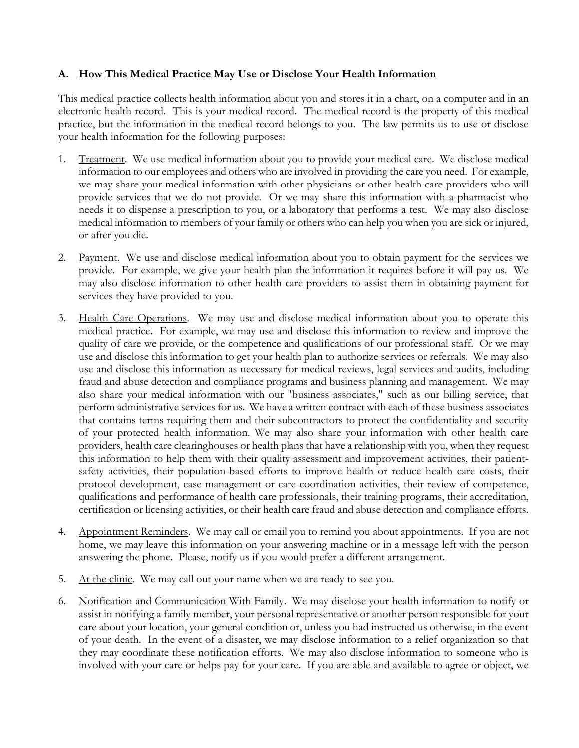### **A. How This Medical Practice May Use or Disclose Your Health Information**

This medical practice collects health information about you and stores it in a chart, on a computer and in an electronic health record. This is your medical record. The medical record is the property of this medical practice, but the information in the medical record belongs to you. The law permits us to use or disclose your health information for the following purposes:

- 1. Treatment. We use medical information about you to provide your medical care. We disclose medical information to our employees and others who are involved in providing the care you need. For example, we may share your medical information with other physicians or other health care providers who will provide services that we do not provide. Or we may share this information with a pharmacist who needs it to dispense a prescription to you, or a laboratory that performs a test. We may also disclose medical information to members of your family or others who can help you when you are sick or injured, or after you die.
- 2. Payment. We use and disclose medical information about you to obtain payment for the services we provide. For example, we give your health plan the information it requires before it will pay us. We may also disclose information to other health care providers to assist them in obtaining payment for services they have provided to you.
- 3. Health Care Operations. We may use and disclose medical information about you to operate this medical practice. For example, we may use and disclose this information to review and improve the quality of care we provide, or the competence and qualifications of our professional staff. Or we may use and disclose this information to get your health plan to authorize services or referrals. We may also use and disclose this information as necessary for medical reviews, legal services and audits, including fraud and abuse detection and compliance programs and business planning and management. We may also share your medical information with our "business associates," such as our billing service, that perform administrative services for us. We have a written contract with each of these business associates that contains terms requiring them and their subcontractors to protect the confidentiality and security of your protected health information. We may also share your information with other health care providers, health care clearinghouses or health plans that have a relationship with you, when they request this information to help them with their quality assessment and improvement activities, their patientsafety activities, their population-based efforts to improve health or reduce health care costs, their protocol development, case management or care-coordination activities, their review of competence, qualifications and performance of health care professionals, their training programs, their accreditation, certification or licensing activities, or their health care fraud and abuse detection and compliance efforts.
- 4. Appointment Reminders. We may call or email you to remind you about appointments. If you are not home, we may leave this information on your answering machine or in a message left with the person answering the phone. Please, notify us if you would prefer a different arrangement.
- 5. At the clinic. We may call out your name when we are ready to see you.
- 6. Notification and Communication With Family. We may disclose your health information to notify or assist in notifying a family member, your personal representative or another person responsible for your care about your location, your general condition or, unless you had instructed us otherwise, in the event of your death. In the event of a disaster, we may disclose information to a relief organization so that they may coordinate these notification efforts. We may also disclose information to someone who is involved with your care or helps pay for your care. If you are able and available to agree or object, we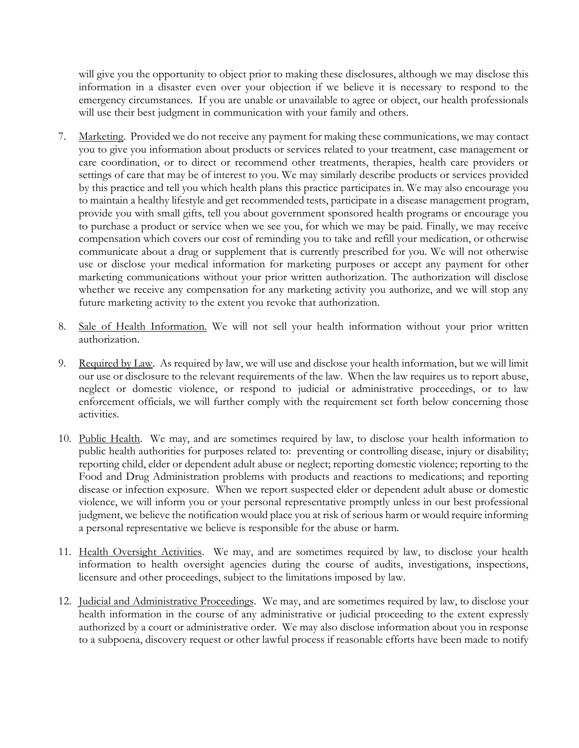will give you the opportunity to object prior to making these disclosures, although we may disclose this information in a disaster even over your objection if we believe it is necessary to respond to the emergency circumstances. If you are unable or unavailable to agree or object, our health professionals will use their best judgment in communication with your family and others.

- 7. Marketing. Provided we do not receive any payment for making these communications, we may contact you to give you information about products or services related to your treatment, case management or care coordination, or to direct or recommend other treatments, therapies, health care providers or settings of care that may be of interest to you. We may similarly describe products or services provided by this practice and tell you which health plans this practice participates in. We may also encourage you to maintain a healthy lifestyle and get recommended tests, participate in a disease management program, provide you with small gifts, tell you about government sponsored health programs or encourage you to purchase a product or service when we see you, for which we may be paid. Finally, we may receive compensation which covers our cost of reminding you to take and refill your medication, or otherwise communicate about a drug or supplement that is currently prescribed for you. We will not otherwise use or disclose your medical information for marketing purposes or accept any payment for other marketing communications without your prior written authorization. The authorization will disclose whether we receive any compensation for any marketing activity you authorize, and we will stop any future marketing activity to the extent you revoke that authorization.
- 8. Sale of Health Information. We will not sell your health information without your prior written authorization.
- 9. Required by Law. As required by law, we will use and disclose your health information, but we will limit our use or disclosure to the relevant requirements of the law. When the law requires us to report abuse, neglect or domestic violence, or respond to judicial or administrative proceedings, or to law enforcement officials, we will further comply with the requirement set forth below concerning those activities.
- 10. Public Health. We may, and are sometimes required by law, to disclose your health information to public health authorities for purposes related to: preventing or controlling disease, injury or disability; reporting child, elder or dependent adult abuse or neglect; reporting domestic violence; reporting to the Food and Drug Administration problems with products and reactions to medications; and reporting disease or infection exposure. When we report suspected elder or dependent adult abuse or domestic violence, we will inform you or your personal representative promptly unless in our best professional judgment, we believe the notification would place you at risk of serious harm or would require informing a personal representative we believe is responsible for the abuse or harm.
- 11. Health Oversight Activities. We may, and are sometimes required by law, to disclose your health information to health oversight agencies during the course of audits, investigations, inspections, licensure and other proceedings, subject to the limitations imposed by law.
- 12. Judicial and Administrative Proceedings. We may, and are sometimes required by law, to disclose your health information in the course of any administrative or judicial proceeding to the extent expressly authorized by a court or administrative order. We may also disclose information about you in response to a subpoena, discovery request or other lawful process if reasonable efforts have been made to notify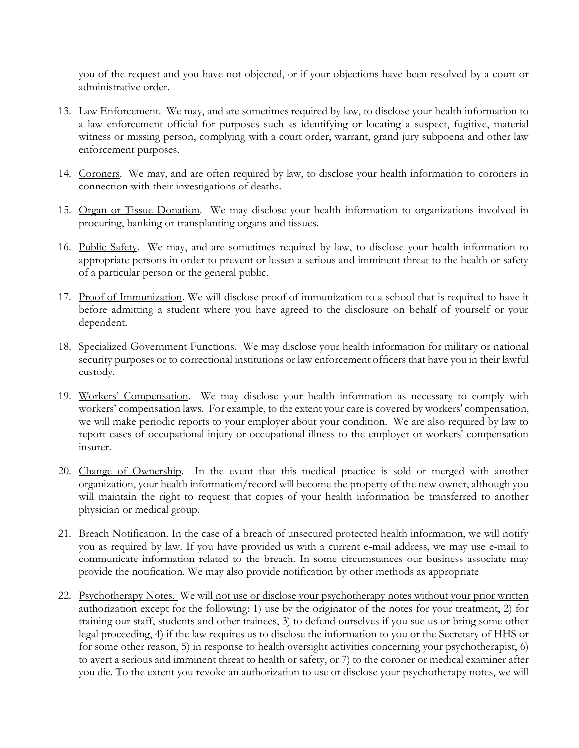you of the request and you have not objected, or if your objections have been resolved by a court or administrative order.

- 13. Law Enforcement. We may, and are sometimes required by law, to disclose your health information to a law enforcement official for purposes such as identifying or locating a suspect, fugitive, material witness or missing person, complying with a court order, warrant, grand jury subpoena and other law enforcement purposes.
- 14. Coroners. We may, and are often required by law, to disclose your health information to coroners in connection with their investigations of deaths.
- 15. Organ or Tissue Donation. We may disclose your health information to organizations involved in procuring, banking or transplanting organs and tissues.
- 16. Public Safety. We may, and are sometimes required by law, to disclose your health information to appropriate persons in order to prevent or lessen a serious and imminent threat to the health or safety of a particular person or the general public.
- 17. Proof of Immunization. We will disclose proof of immunization to a school that is required to have it before admitting a student where you have agreed to the disclosure on behalf of yourself or your dependent.
- 18. Specialized Government Functions. We may disclose your health information for military or national security purposes or to correctional institutions or law enforcement officers that have you in their lawful custody.
- 19. Workers' Compensation. We may disclose your health information as necessary to comply with workers' compensation laws. For example, to the extent your care is covered by workers' compensation, we will make periodic reports to your employer about your condition. We are also required by law to report cases of occupational injury or occupational illness to the employer or workers' compensation insurer.
- 20. Change of Ownership. In the event that this medical practice is sold or merged with another organization, your health information/record will become the property of the new owner, although you will maintain the right to request that copies of your health information be transferred to another physician or medical group.
- 21. Breach Notification. In the case of a breach of unsecured protected health information, we will notify you as required by law. If you have provided us with a current e-mail address, we may use e-mail to communicate information related to the breach. In some circumstances our business associate may provide the notification. We may also provide notification by other methods as appropriate
- 22. Psychotherapy Notes. We will not use or disclose your psychotherapy notes without your prior written authorization except for the following: 1) use by the originator of the notes for your treatment, 2) for training our staff, students and other trainees, 3) to defend ourselves if you sue us or bring some other legal proceeding, 4) if the law requires us to disclose the information to you or the Secretary of HHS or for some other reason, 5) in response to health oversight activities concerning your psychotherapist, 6) to avert a serious and imminent threat to health or safety, or 7) to the coroner or medical examiner after you die. To the extent you revoke an authorization to use or disclose your psychotherapy notes, we will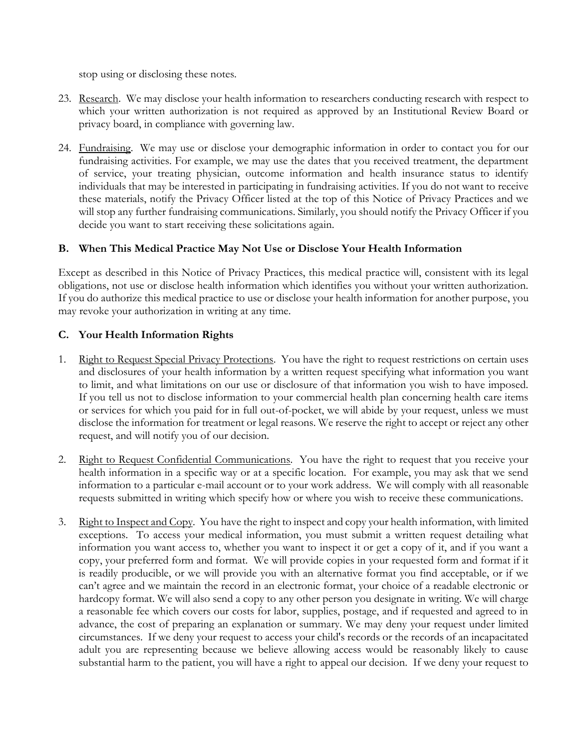stop using or disclosing these notes.

- 23. Research. We may disclose your health information to researchers conducting research with respect to which your written authorization is not required as approved by an Institutional Review Board or privacy board, in compliance with governing law.
- 24. Fundraising. We may use or disclose your demographic information in order to contact you for our fundraising activities. For example, we may use the dates that you received treatment, the department of service, your treating physician, outcome information and health insurance status to identify individuals that may be interested in participating in fundraising activities. If you do not want to receive these materials, notify the Privacy Officer listed at the top of this Notice of Privacy Practices and we will stop any further fundraising communications. Similarly, you should notify the Privacy Officer if you decide you want to start receiving these solicitations again.

# **B. When This Medical Practice May Not Use or Disclose Your Health Information**

Except as described in this Notice of Privacy Practices, this medical practice will, consistent with its legal obligations, not use or disclose health information which identifies you without your written authorization. If you do authorize this medical practice to use or disclose your health information for another purpose, you may revoke your authorization in writing at any time.

## **C. Your Health Information Rights**

- 1. Right to Request Special Privacy Protections. You have the right to request restrictions on certain uses and disclosures of your health information by a written request specifying what information you want to limit, and what limitations on our use or disclosure of that information you wish to have imposed. If you tell us not to disclose information to your commercial health plan concerning health care items or services for which you paid for in full out-of-pocket, we will abide by your request, unless we must disclose the information for treatment or legal reasons. We reserve the right to accept or reject any other request, and will notify you of our decision.
- 2. Right to Request Confidential Communications. You have the right to request that you receive your health information in a specific way or at a specific location. For example, you may ask that we send information to a particular e-mail account or to your work address. We will comply with all reasonable requests submitted in writing which specify how or where you wish to receive these communications.
- 3. Right to Inspect and Copy. You have the right to inspect and copy your health information, with limited exceptions. To access your medical information, you must submit a written request detailing what information you want access to, whether you want to inspect it or get a copy of it, and if you want a copy, your preferred form and format. We will provide copies in your requested form and format if it is readily producible, or we will provide you with an alternative format you find acceptable, or if we can't agree and we maintain the record in an electronic format, your choice of a readable electronic or hardcopy format. We will also send a copy to any other person you designate in writing. We will charge a reasonable fee which covers our costs for labor, supplies, postage, and if requested and agreed to in advance, the cost of preparing an explanation or summary. We may deny your request under limited circumstances. If we deny your request to access your child's records or the records of an incapacitated adult you are representing because we believe allowing access would be reasonably likely to cause substantial harm to the patient, you will have a right to appeal our decision. If we deny your request to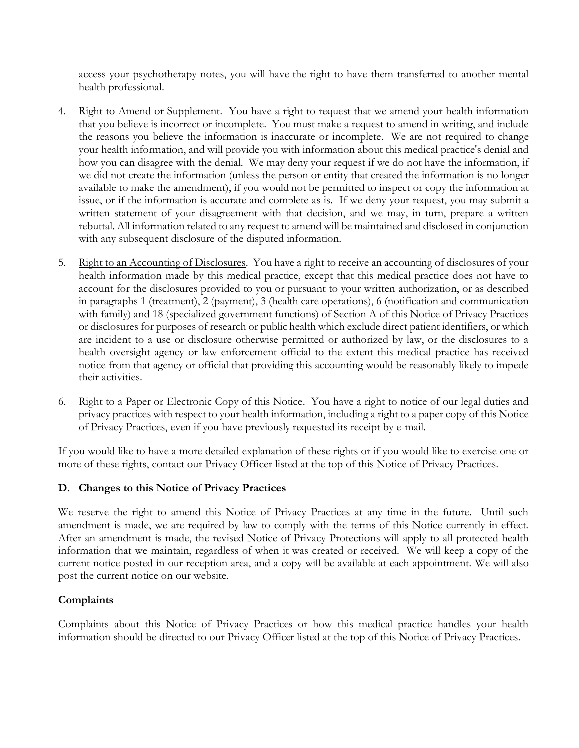access your psychotherapy notes, you will have the right to have them transferred to another mental health professional.

- 4. Right to Amend or Supplement. You have a right to request that we amend your health information that you believe is incorrect or incomplete. You must make a request to amend in writing, and include the reasons you believe the information is inaccurate or incomplete. We are not required to change your health information, and will provide you with information about this medical practice's denial and how you can disagree with the denial. We may deny your request if we do not have the information, if we did not create the information (unless the person or entity that created the information is no longer available to make the amendment), if you would not be permitted to inspect or copy the information at issue, or if the information is accurate and complete as is. If we deny your request, you may submit a written statement of your disagreement with that decision, and we may, in turn, prepare a written rebuttal. All information related to any request to amend will be maintained and disclosed in conjunction with any subsequent disclosure of the disputed information.
- 5. Right to an Accounting of Disclosures. You have a right to receive an accounting of disclosures of your health information made by this medical practice, except that this medical practice does not have to account for the disclosures provided to you or pursuant to your written authorization, or as described in paragraphs 1 (treatment), 2 (payment), 3 (health care operations), 6 (notification and communication with family) and 18 (specialized government functions) of Section A of this Notice of Privacy Practices or disclosures for purposes of research or public health which exclude direct patient identifiers, or which are incident to a use or disclosure otherwise permitted or authorized by law, or the disclosures to a health oversight agency or law enforcement official to the extent this medical practice has received notice from that agency or official that providing this accounting would be reasonably likely to impede their activities.
- 6. Right to a Paper or Electronic Copy of this Notice. You have a right to notice of our legal duties and privacy practices with respect to your health information, including a right to a paper copy of this Notice of Privacy Practices, even if you have previously requested its receipt by e-mail.

If you would like to have a more detailed explanation of these rights or if you would like to exercise one or more of these rights, contact our Privacy Officer listed at the top of this Notice of Privacy Practices.

# **D. Changes to this Notice of Privacy Practices**

We reserve the right to amend this Notice of Privacy Practices at any time in the future. Until such amendment is made, we are required by law to comply with the terms of this Notice currently in effect. After an amendment is made, the revised Notice of Privacy Protections will apply to all protected health information that we maintain, regardless of when it was created or received. We will keep a copy of the current notice posted in our reception area, and a copy will be available at each appointment. We will also post the current notice on our website.

### **Complaints**

Complaints about this Notice of Privacy Practices or how this medical practice handles your health information should be directed to our Privacy Officer listed at the top of this Notice of Privacy Practices.